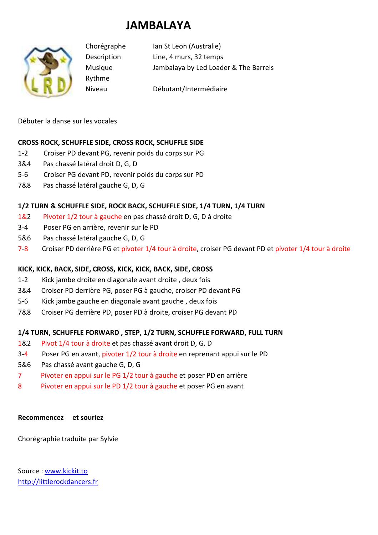# **JAMBALAYA**



Rythme

Chorégraphe Ian St Leon (Australie) Description Line, 4 murs, 32 temps Musique Jambalaya by Led Loader & The Barrels

Niveau Débutant/Intermédiaire

Débuter la danse sur les vocales

# **CROSS ROCK, SCHUFFLE SIDE, CROSS ROCK, SCHUFFLE SIDE**

- 1-2 Croiser PD devant PG, revenir poids du corps sur PG
- 3&4 Pas chassé latéral droit D, G, D
- 5-6 Croiser PG devant PD, revenir poids du corps sur PD
- 7&8 Pas chassé latéral gauche G, D, G

# **1/2 TURN & SCHUFFLE SIDE, ROCK BACK, SCHUFFLE SIDE, 1/4 TURN, 1/4 TURN**

- 1&2 Pivoter 1/2 tour à gauche en pas chassé droit D, G, D à droite
- 3-4 Poser PG en arrière, revenir sur le PD
- 5&6 Pas chassé latéral gauche G, D, G
- 7-8 Croiser PD derrière PG et pivoter 1/4 tour à droite, croiser PG devant PD et pivoter 1/4 tour à droite

# **KICK, KICK, BACK, SIDE, CROSS, KICK, KICK, BACK, SIDE, CROSS**

- 1-2 Kick jambe droite en diagonale avant droite , deux fois
- 3&4 Croiser PD derrière PG, poser PG à gauche, croiser PD devant PG
- 5-6 Kick jambe gauche en diagonale avant gauche , deux fois
- 7&8 Croiser PG derrière PD, poser PD à droite, croiser PG devant PD

## **1/4 TURN, SCHUFFLE FORWARD , STEP, 1/2 TURN, SCHUFFLE FORWARD, FULL TURN**

- 1&2 Pivot 1/4 tour à droite et pas chassé avant droit D, G, D
- 3-4 Poser PG en avant, pivoter 1/2 tour à droite en reprenant appui sur le PD
- 5&6 Pas chassé avant gauche G, D, G
- 7 Pivoter en appui sur le PG 1/2 tour à gauche et poser PD en arrière
- 8 Pivoter en appui sur le PD 1/2 tour à gauche et poser PG en avant

## **Recommencez et souriez**

Chorégraphie traduite par Sylvie

Source : www.kickit.to http://littlerockdancers.fr